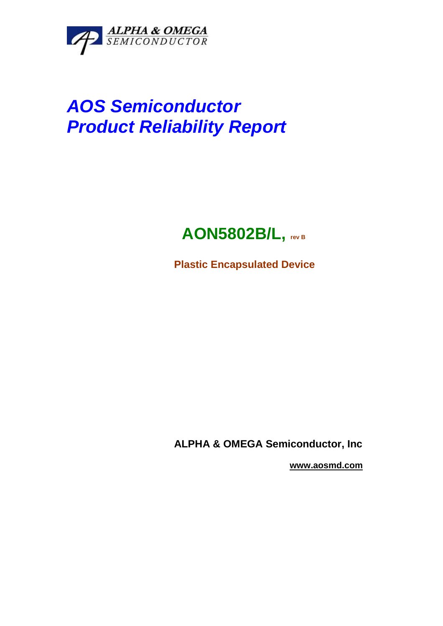

# **AOS Semiconductor Product Reliability Report**

## **AON5802B/L, rev B**

**Plastic Encapsulated Device** 

**ALPHA & OMEGA Semiconductor, Inc** 

 **www.aosmd.com**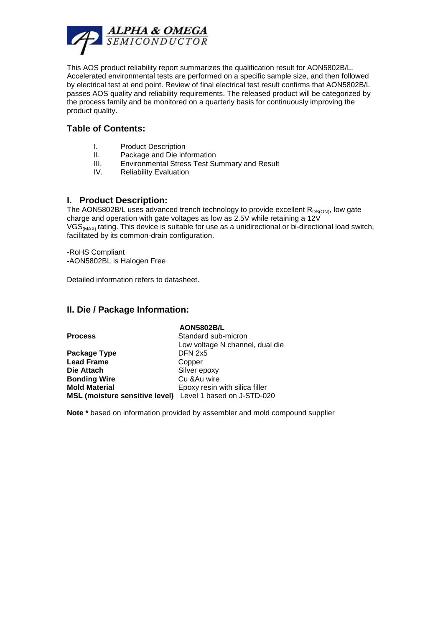

This AOS product reliability report summarizes the qualification result for AON5802B/L. Accelerated environmental tests are performed on a specific sample size, and then followed by electrical test at end point. Review of final electrical test result confirms that AON5802B/L passes AOS quality and reliability requirements. The released product will be categorized by the process family and be monitored on a quarterly basis for continuously improving the product quality.

#### **Table of Contents:**

- I. Product Description
- II. Package and Die information
- III. Environmental Stress Test Summary and Result
- IV. Reliability Evaluation

#### **I. Product Description:**

The AON5802B/L uses advanced trench technology to provide excellent  $R_{DS(ON)}$ , low gate charge and operation with gate voltages as low as 2.5V while retaining a 12V VGS<sub>(MAX)</sub> rating. This device is suitable for use as a unidirectional or bi-directional load switch, facilitated by its common-drain configuration.

-RoHS Compliant -AON5802BL is Halogen Free

Detailed information refers to datasheet.

#### **II. Die / Package Information:**

|                                                           | <b>AON5802B/L</b>               |
|-----------------------------------------------------------|---------------------------------|
| <b>Process</b>                                            | Standard sub-micron             |
|                                                           | Low voltage N channel, dual die |
| Package Type                                              | DFN 2x5                         |
| <b>Lead Frame</b>                                         | Copper                          |
| Die Attach                                                | Silver epoxy                    |
| <b>Bonding Wire</b>                                       | Cu & Au wire                    |
| <b>Mold Material</b>                                      | Epoxy resin with silica filler  |
| MSL (moisture sensitive level) Level 1 based on J-STD-020 |                                 |

**Note \*** based on information provided by assembler and mold compound supplier